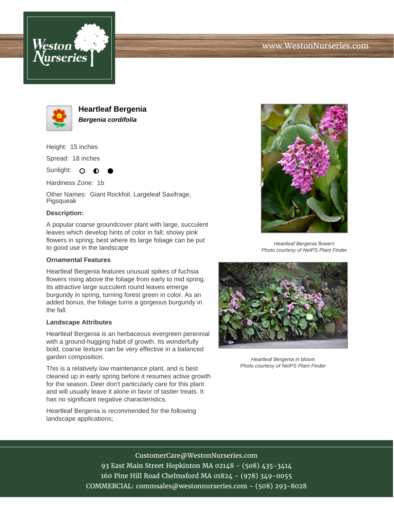



**Heartleaf Bergenia Bergenia cordifolia**

Height: 15 inches

Spread: 18 inches

Sunlight: O  $\bullet$ 

Hardiness Zone: 1b

Other Names: Giant Rockfoil, Largeleaf Saxifrage, Pigsqueak

## **Description:**

A popular coarse groundcover plant with large, succulent leaves which develop hints of color in fall; showy pink flowers in spring; best where its large foliage can be put to good use in the landscape

### **Ornamental Features**

Heartleaf Bergenia features unusual spikes of fuchsia flowers rising above the foliage from early to mid spring. Its attractive large succulent round leaves emerge burgundy in spring, turning forest green in color. As an added bonus, the foliage turns a gorgeous burgundy in the fall.

### **Landscape Attributes**

Heartleaf Bergenia is an herbaceous evergreen perennial with a ground-hugging habit of growth. Its wonderfully bold, coarse texture can be very effective in a balanced garden composition.

This is a relatively low maintenance plant, and is best cleaned up in early spring before it resumes active growth for the season. Deer don't particularly care for this plant and will usually leave it alone in favor of tastier treats. It has no significant negative characteristics.

Heartleaf Bergenia is recommended for the following landscape applications;



Heartleaf Bergenia flowers Photo courtesy of NetPS Plant Finder



Heartleaf Bergenia in bloom Photo courtesy of NetPS Plant Finder

# CustomerCare@WestonNurseries.com

93 East Main Street Hopkinton MA 02148 - (508) 435-3414 160 Pine Hill Road Chelmsford MA 01824 - (978) 349-0055 COMMERCIAL: commsales@westonnurseries.com - (508) 293-8028